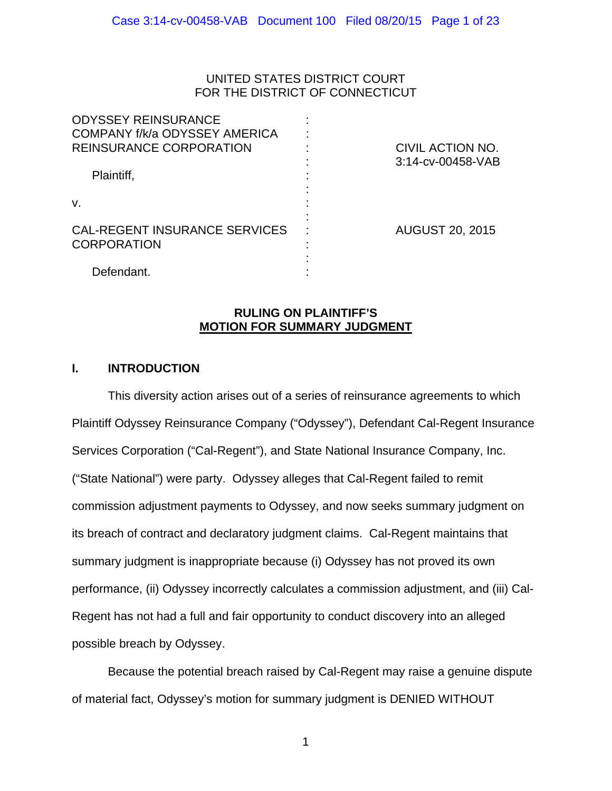## UNITED STATES DISTRICT COURT FOR THE DISTRICT OF CONNECTICUT

| <b>ODYSSEY REINSURANCE</b><br>COMPANY f/k/a ODYSSEY AMERICA<br><b>REINSURANCE CORPORATION</b> | CIVIL ACTION NO.<br>3:14-cv-00458-VAB |
|-----------------------------------------------------------------------------------------------|---------------------------------------|
| Plaintiff,<br>V.                                                                              |                                       |
| <b>CAL-REGENT INSURANCE SERVICES</b><br><b>CORPORATION</b>                                    | <b>AUGUST 20, 2015</b>                |
| Defendant.                                                                                    |                                       |

## **RULING ON PLAINTIFF'S MOTION FOR SUMMARY JUDGMENT**

## **I. INTRODUCTION**

 This diversity action arises out of a series of reinsurance agreements to which Plaintiff Odyssey Reinsurance Company ("Odyssey"), Defendant Cal-Regent Insurance Services Corporation ("Cal-Regent"), and State National Insurance Company, Inc. ("State National") were party. Odyssey alleges that Cal-Regent failed to remit commission adjustment payments to Odyssey, and now seeks summary judgment on its breach of contract and declaratory judgment claims. Cal-Regent maintains that summary judgment is inappropriate because (i) Odyssey has not proved its own performance, (ii) Odyssey incorrectly calculates a commission adjustment, and (iii) Cal-Regent has not had a full and fair opportunity to conduct discovery into an alleged possible breach by Odyssey.

Because the potential breach raised by Cal-Regent may raise a genuine dispute of material fact, Odyssey's motion for summary judgment is DENIED WITHOUT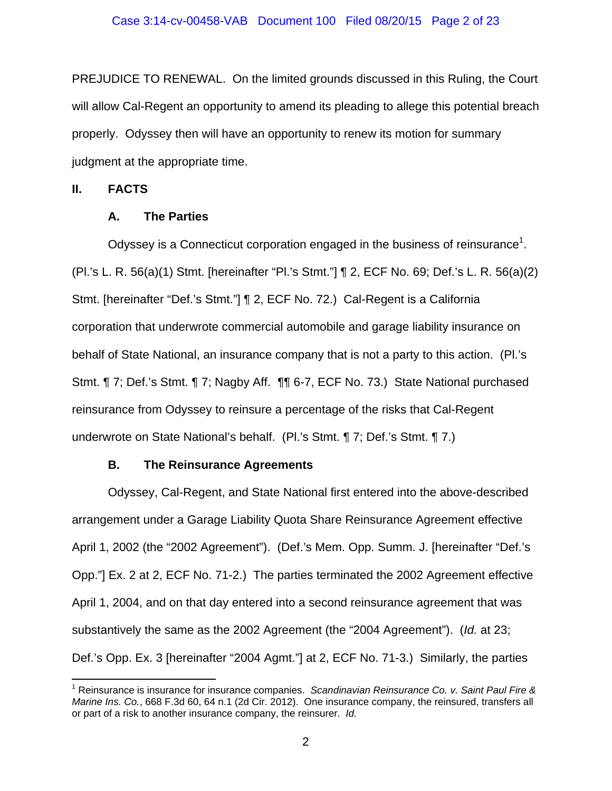PREJUDICE TO RENEWAL. On the limited grounds discussed in this Ruling, the Court will allow Cal-Regent an opportunity to amend its pleading to allege this potential breach properly. Odyssey then will have an opportunity to renew its motion for summary judgment at the appropriate time.

### **II. FACTS**

### **A. The Parties**

 $\frac{1}{\sqrt{2}}$  . The contract of the contract of the contract of  $\frac{1}{\sqrt{2}}$ 

Odyssey is a Connecticut corporation engaged in the business of reinsurance<sup>1</sup>. (Pl.'s L. R. 56(a)(1) Stmt. [hereinafter "Pl.'s Stmt."] ¶ 2, ECF No. 69; Def.'s L. R. 56(a)(2) Stmt. [hereinafter "Def.'s Stmt."] ¶ 2, ECF No. 72.) Cal-Regent is a California corporation that underwrote commercial automobile and garage liability insurance on behalf of State National, an insurance company that is not a party to this action. (Pl.'s Stmt. ¶ 7; Def.'s Stmt. ¶ 7; Nagby Aff. ¶¶ 6-7, ECF No. 73.) State National purchased reinsurance from Odyssey to reinsure a percentage of the risks that Cal-Regent underwrote on State National's behalf. (Pl.'s Stmt. ¶ 7; Def.'s Stmt. ¶ 7.)

## **B. The Reinsurance Agreements**

Odyssey, Cal-Regent, and State National first entered into the above-described arrangement under a Garage Liability Quota Share Reinsurance Agreement effective April 1, 2002 (the "2002 Agreement"). (Def.'s Mem. Opp. Summ. J. [hereinafter "Def.'s Opp."] Ex. 2 at 2, ECF No. 71-2.) The parties terminated the 2002 Agreement effective April 1, 2004, and on that day entered into a second reinsurance agreement that was substantively the same as the 2002 Agreement (the "2004 Agreement"). (*Id.* at 23; Def.'s Opp. Ex. 3 [hereinafter "2004 Agmt."] at 2, ECF No. 71-3.) Similarly, the parties

<sup>&</sup>lt;sup>1</sup> Reinsurance is insurance for insurance companies. *Scandinavian Reinsurance Co. v. Saint Paul Fire & Marine Ins. Co.*, 668 F.3d 60, 64 n.1 (2d Cir. 2012). One insurance company, the reinsured, transfers all or part of a risk to another insurance company, the reinsurer. *Id.*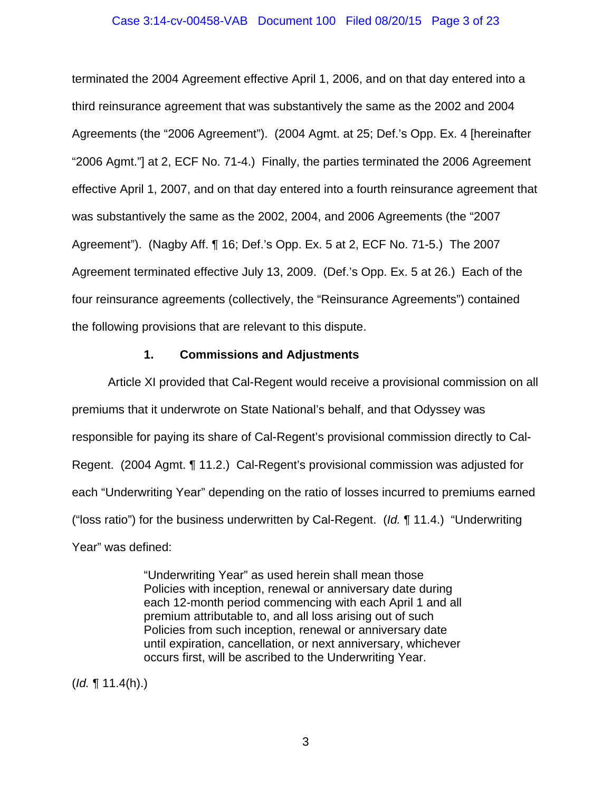### Case 3:14-cv-00458-VAB Document 100 Filed 08/20/15 Page 3 of 23

terminated the 2004 Agreement effective April 1, 2006, and on that day entered into a third reinsurance agreement that was substantively the same as the 2002 and 2004 Agreements (the "2006 Agreement"). (2004 Agmt. at 25; Def.'s Opp. Ex. 4 [hereinafter "2006 Agmt."] at 2, ECF No. 71-4.) Finally, the parties terminated the 2006 Agreement effective April 1, 2007, and on that day entered into a fourth reinsurance agreement that was substantively the same as the 2002, 2004, and 2006 Agreements (the "2007 Agreement"). (Nagby Aff. ¶ 16; Def.'s Opp. Ex. 5 at 2, ECF No. 71-5.) The 2007 Agreement terminated effective July 13, 2009. (Def.'s Opp. Ex. 5 at 26.) Each of the four reinsurance agreements (collectively, the "Reinsurance Agreements") contained the following provisions that are relevant to this dispute.

## **1. Commissions and Adjustments**

Article XI provided that Cal-Regent would receive a provisional commission on all premiums that it underwrote on State National's behalf, and that Odyssey was responsible for paying its share of Cal-Regent's provisional commission directly to Cal-Regent. (2004 Agmt. ¶ 11.2.) Cal-Regent's provisional commission was adjusted for each "Underwriting Year" depending on the ratio of losses incurred to premiums earned ("loss ratio") for the business underwritten by Cal-Regent. (*Id.* ¶ 11.4.) "Underwriting Year" was defined:

> "Underwriting Year" as used herein shall mean those Policies with inception, renewal or anniversary date during each 12-month period commencing with each April 1 and all premium attributable to, and all loss arising out of such Policies from such inception, renewal or anniversary date until expiration, cancellation, or next anniversary, whichever occurs first, will be ascribed to the Underwriting Year.

(*Id.* ¶ 11.4(h).)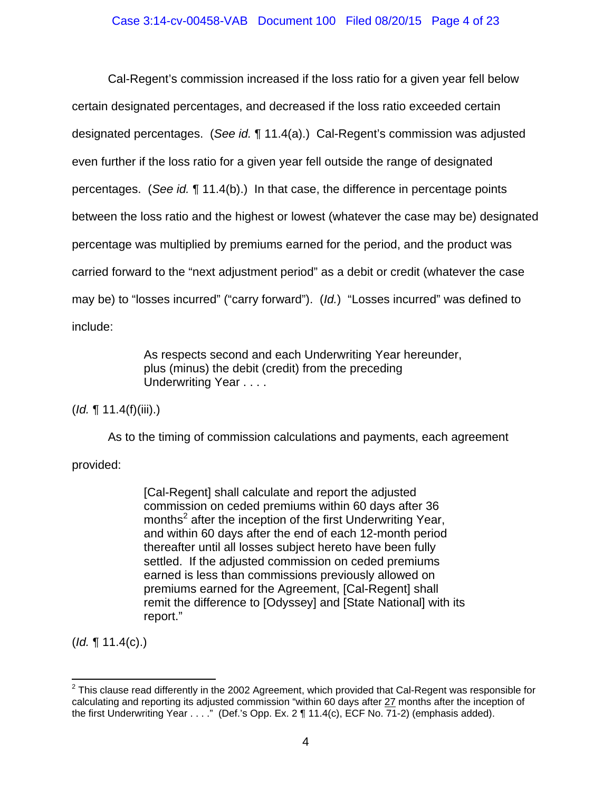## Case 3:14-cv-00458-VAB Document 100 Filed 08/20/15 Page 4 of 23

Cal-Regent's commission increased if the loss ratio for a given year fell below certain designated percentages, and decreased if the loss ratio exceeded certain designated percentages. (*See id.* ¶ 11.4(a).) Cal-Regent's commission was adjusted even further if the loss ratio for a given year fell outside the range of designated percentages. (*See id.* ¶ 11.4(b).) In that case, the difference in percentage points between the loss ratio and the highest or lowest (whatever the case may be) designated percentage was multiplied by premiums earned for the period, and the product was carried forward to the "next adjustment period" as a debit or credit (whatever the case may be) to "losses incurred" ("carry forward"). (*Id.*) "Losses incurred" was defined to include:

> As respects second and each Underwriting Year hereunder, plus (minus) the debit (credit) from the preceding Underwriting Year . . . .

(*Id.* ¶ 11.4(f)(iii).)

As to the timing of commission calculations and payments, each agreement

provided:

[Cal-Regent] shall calculate and report the adjusted commission on ceded premiums within 60 days after 36 months<sup>2</sup> after the inception of the first Underwriting Year, and within 60 days after the end of each 12-month period thereafter until all losses subject hereto have been fully settled. If the adjusted commission on ceded premiums earned is less than commissions previously allowed on premiums earned for the Agreement, [Cal-Regent] shall remit the difference to [Odyssey] and [State National] with its report."

(*Id.* ¶ 11.4(c).)

  $^{2}$  This clause read differently in the 2002 Agreement, which provided that Cal-Regent was responsible for calculating and reporting its adjusted commission "within 60 days after 27 months after the inception of the first Underwriting Year . . . ." (Def.'s Opp. Ex. 2 ¶ 11.4(c), ECF No. 71-2) (emphasis added).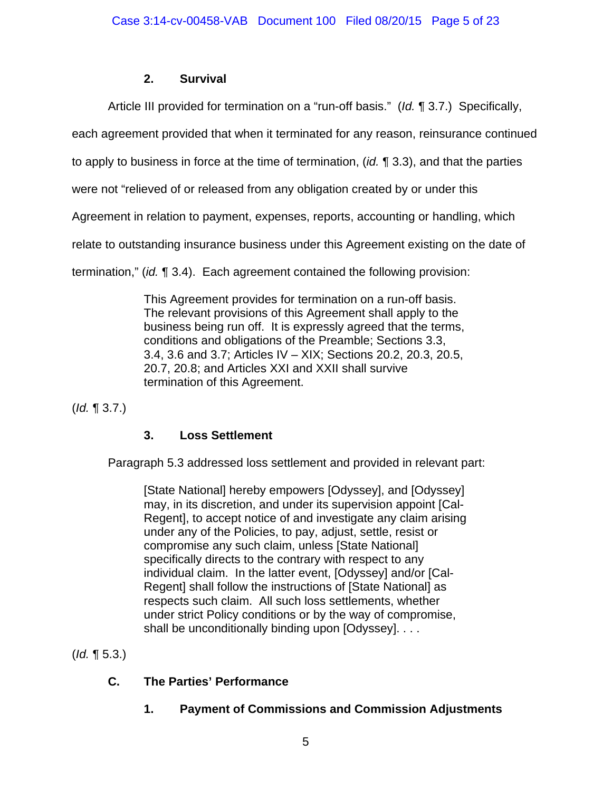# **2. Survival**

Article III provided for termination on a "run-off basis." (*Id.* ¶ 3.7.) Specifically,

each agreement provided that when it terminated for any reason, reinsurance continued

to apply to business in force at the time of termination, (*id.* ¶ 3.3), and that the parties

were not "relieved of or released from any obligation created by or under this

Agreement in relation to payment, expenses, reports, accounting or handling, which

relate to outstanding insurance business under this Agreement existing on the date of

termination," (*id.* ¶ 3.4). Each agreement contained the following provision:

This Agreement provides for termination on a run-off basis. The relevant provisions of this Agreement shall apply to the business being run off. It is expressly agreed that the terms, conditions and obligations of the Preamble; Sections 3.3, 3.4, 3.6 and 3.7; Articles IV – XIX; Sections 20.2, 20.3, 20.5, 20.7, 20.8; and Articles XXI and XXII shall survive termination of this Agreement.

(*Id.* ¶ 3.7.)

# **3. Loss Settlement**

Paragraph 5.3 addressed loss settlement and provided in relevant part:

[State National] hereby empowers [Odyssey], and [Odyssey] may, in its discretion, and under its supervision appoint [Cal-Regent], to accept notice of and investigate any claim arising under any of the Policies, to pay, adjust, settle, resist or compromise any such claim, unless [State National] specifically directs to the contrary with respect to any individual claim. In the latter event, [Odyssey] and/or [Cal-Regent] shall follow the instructions of [State National] as respects such claim. All such loss settlements, whether under strict Policy conditions or by the way of compromise, shall be unconditionally binding upon [Odyssey]. . . .

(*Id.* ¶ 5.3.)

# **C. The Parties' Performance**

 **1. Payment of Commissions and Commission Adjustments**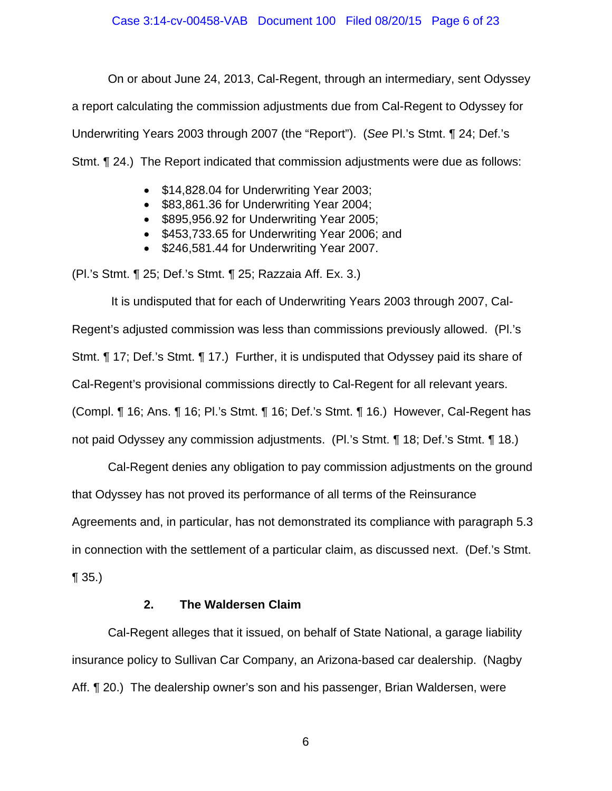On or about June 24, 2013, Cal-Regent, through an intermediary, sent Odyssey a report calculating the commission adjustments due from Cal-Regent to Odyssey for Underwriting Years 2003 through 2007 (the "Report"). (*See* Pl.'s Stmt. ¶ 24; Def.'s Stmt. ¶ 24.) The Report indicated that commission adjustments were due as follows:

- \$14,828.04 for Underwriting Year 2003;
- \$83,861.36 for Underwriting Year 2004;
- \$895,956.92 for Underwriting Year 2005;
- \$453,733.65 for Underwriting Year 2006; and
- \$246,581.44 for Underwriting Year 2007.

(Pl.'s Stmt. ¶ 25; Def.'s Stmt. ¶ 25; Razzaia Aff. Ex. 3.)

 It is undisputed that for each of Underwriting Years 2003 through 2007, Cal-Regent's adjusted commission was less than commissions previously allowed. (Pl.'s Stmt. ¶ 17; Def.'s Stmt. ¶ 17.) Further, it is undisputed that Odyssey paid its share of Cal-Regent's provisional commissions directly to Cal-Regent for all relevant years. (Compl. ¶ 16; Ans. ¶ 16; Pl.'s Stmt. ¶ 16; Def.'s Stmt. ¶ 16.) However, Cal-Regent has not paid Odyssey any commission adjustments. (Pl.'s Stmt. ¶ 18; Def.'s Stmt. ¶ 18.)

 Cal-Regent denies any obligation to pay commission adjustments on the ground that Odyssey has not proved its performance of all terms of the Reinsurance Agreements and, in particular, has not demonstrated its compliance with paragraph 5.3 in connection with the settlement of a particular claim, as discussed next. (Def.'s Stmt.

 $\P(35.)$ 

## **2. The Waldersen Claim**

Cal-Regent alleges that it issued, on behalf of State National, a garage liability insurance policy to Sullivan Car Company, an Arizona-based car dealership. (Nagby Aff. ¶ 20.) The dealership owner's son and his passenger, Brian Waldersen, were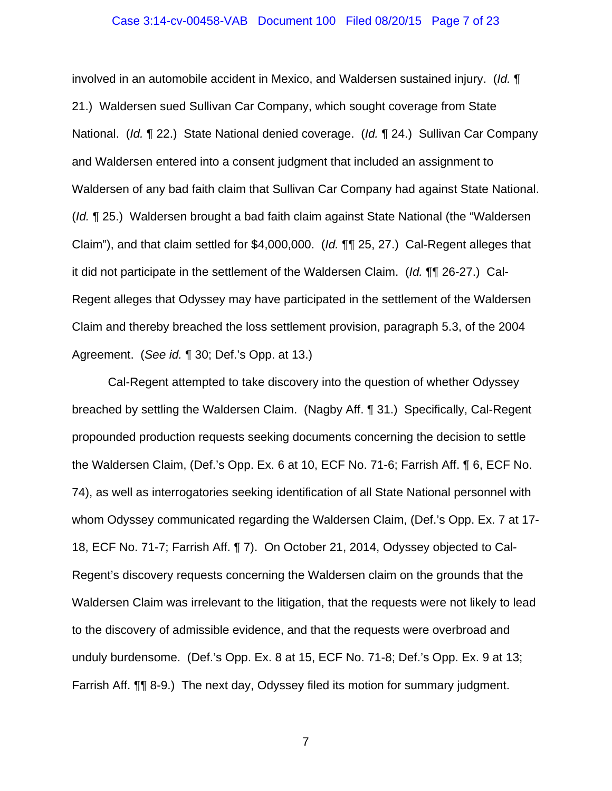#### Case 3:14-cv-00458-VAB Document 100 Filed 08/20/15 Page 7 of 23

involved in an automobile accident in Mexico, and Waldersen sustained injury. (*Id.* ¶ 21.) Waldersen sued Sullivan Car Company, which sought coverage from State National. (*Id.* ¶ 22.) State National denied coverage. (*Id.* ¶ 24.) Sullivan Car Company and Waldersen entered into a consent judgment that included an assignment to Waldersen of any bad faith claim that Sullivan Car Company had against State National. (*Id.* ¶ 25.) Waldersen brought a bad faith claim against State National (the "Waldersen Claim"), and that claim settled for \$4,000,000. (*Id.* ¶¶ 25, 27.) Cal-Regent alleges that it did not participate in the settlement of the Waldersen Claim. (*Id.* ¶¶ 26-27.) Cal-Regent alleges that Odyssey may have participated in the settlement of the Waldersen Claim and thereby breached the loss settlement provision, paragraph 5.3, of the 2004 Agreement. (*See id.* ¶ 30; Def.'s Opp. at 13.)

Cal-Regent attempted to take discovery into the question of whether Odyssey breached by settling the Waldersen Claim. (Nagby Aff. ¶ 31.) Specifically, Cal-Regent propounded production requests seeking documents concerning the decision to settle the Waldersen Claim, (Def.'s Opp. Ex. 6 at 10, ECF No. 71-6; Farrish Aff. ¶ 6, ECF No. 74), as well as interrogatories seeking identification of all State National personnel with whom Odyssey communicated regarding the Waldersen Claim, (Def.'s Opp. Ex. 7 at 17- 18, ECF No. 71-7; Farrish Aff. ¶ 7). On October 21, 2014, Odyssey objected to Cal-Regent's discovery requests concerning the Waldersen claim on the grounds that the Waldersen Claim was irrelevant to the litigation, that the requests were not likely to lead to the discovery of admissible evidence, and that the requests were overbroad and unduly burdensome. (Def.'s Opp. Ex. 8 at 15, ECF No. 71-8; Def.'s Opp. Ex. 9 at 13; Farrish Aff. ¶¶ 8-9.) The next day, Odyssey filed its motion for summary judgment.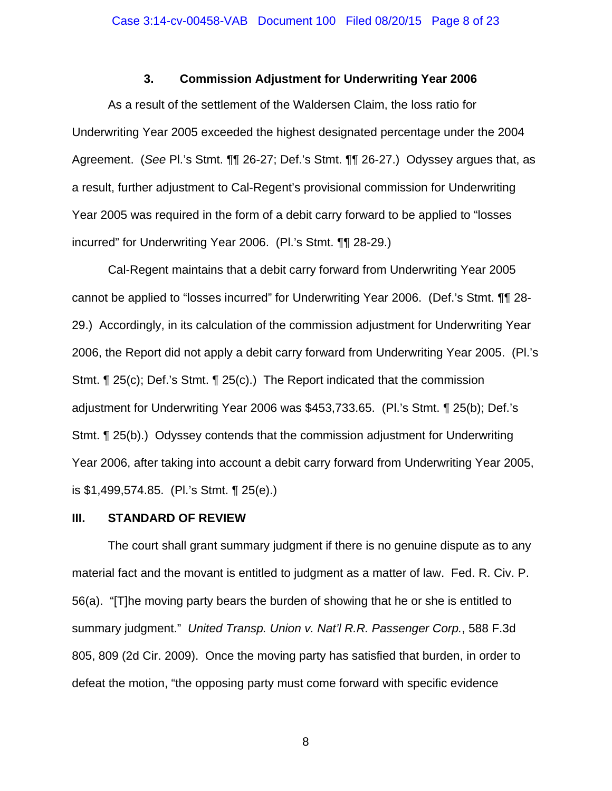## **3. Commission Adjustment for Underwriting Year 2006**

As a result of the settlement of the Waldersen Claim, the loss ratio for Underwriting Year 2005 exceeded the highest designated percentage under the 2004 Agreement. (*See* Pl.'s Stmt. ¶¶ 26-27; Def.'s Stmt. ¶¶ 26-27.) Odyssey argues that, as a result, further adjustment to Cal-Regent's provisional commission for Underwriting Year 2005 was required in the form of a debit carry forward to be applied to "losses incurred" for Underwriting Year 2006. (Pl.'s Stmt. ¶¶ 28-29.)

Cal-Regent maintains that a debit carry forward from Underwriting Year 2005 cannot be applied to "losses incurred" for Underwriting Year 2006. (Def.'s Stmt. ¶¶ 28- 29.) Accordingly, in its calculation of the commission adjustment for Underwriting Year 2006, the Report did not apply a debit carry forward from Underwriting Year 2005. (Pl.'s Stmt. ¶ 25(c); Def.'s Stmt. ¶ 25(c).) The Report indicated that the commission adjustment for Underwriting Year 2006 was \$453,733.65. (Pl.'s Stmt. ¶ 25(b); Def.'s Stmt. ¶ 25(b).) Odyssey contends that the commission adjustment for Underwriting Year 2006, after taking into account a debit carry forward from Underwriting Year 2005, is \$1,499,574.85. (Pl.'s Stmt. ¶ 25(e).)

### **III. STANDARD OF REVIEW**

The court shall grant summary judgment if there is no genuine dispute as to any material fact and the movant is entitled to judgment as a matter of law. Fed. R. Civ. P. 56(a). "[T]he moving party bears the burden of showing that he or she is entitled to summary judgment." *United Transp. Union v. Nat'l R.R. Passenger Corp.*, 588 F.3d 805, 809 (2d Cir. 2009). Once the moving party has satisfied that burden, in order to defeat the motion, "the opposing party must come forward with specific evidence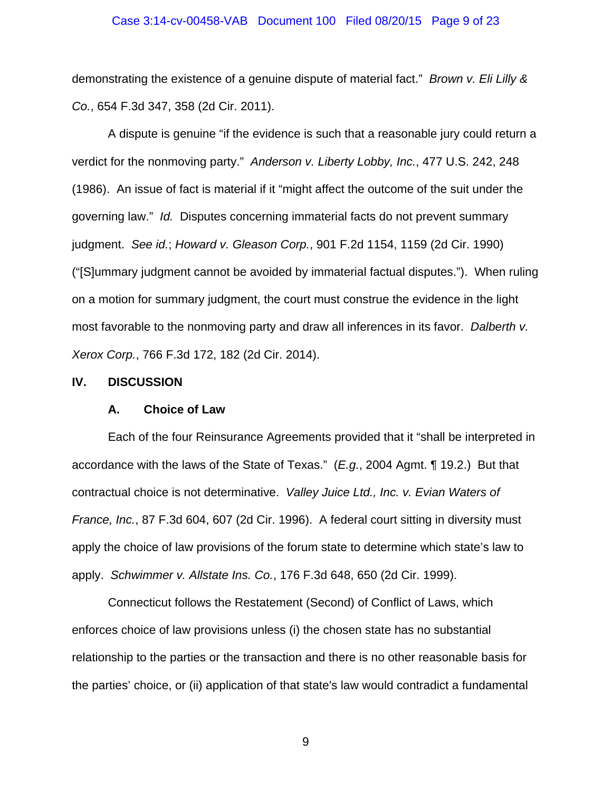#### Case 3:14-cv-00458-VAB Document 100 Filed 08/20/15 Page 9 of 23

demonstrating the existence of a genuine dispute of material fact." *Brown v. Eli Lilly & Co.*, 654 F.3d 347, 358 (2d Cir. 2011).

A dispute is genuine "if the evidence is such that a reasonable jury could return a verdict for the nonmoving party." *Anderson v. Liberty Lobby, Inc.*, 477 U.S. 242, 248 (1986). An issue of fact is material if it "might affect the outcome of the suit under the governing law." *Id.* Disputes concerning immaterial facts do not prevent summary judgment. *See id.*; *Howard v. Gleason Corp.*, 901 F.2d 1154, 1159 (2d Cir. 1990) ("[S]ummary judgment cannot be avoided by immaterial factual disputes."). When ruling on a motion for summary judgment, the court must construe the evidence in the light most favorable to the nonmoving party and draw all inferences in its favor. *Dalberth v. Xerox Corp.*, 766 F.3d 172, 182 (2d Cir. 2014).

#### **IV. DISCUSSION**

#### **A. Choice of Law**

Each of the four Reinsurance Agreements provided that it "shall be interpreted in accordance with the laws of the State of Texas." (*E.g.*, 2004 Agmt. ¶ 19.2.) But that contractual choice is not determinative. *Valley Juice Ltd., Inc. v. Evian Waters of France, Inc.*, 87 F.3d 604, 607 (2d Cir. 1996). A federal court sitting in diversity must apply the choice of law provisions of the forum state to determine which state's law to apply. *Schwimmer v. Allstate Ins. Co.*, 176 F.3d 648, 650 (2d Cir. 1999).

Connecticut follows the Restatement (Second) of Conflict of Laws, which enforces choice of law provisions unless (i) the chosen state has no substantial relationship to the parties or the transaction and there is no other reasonable basis for the parties' choice, or (ii) application of that state's law would contradict a fundamental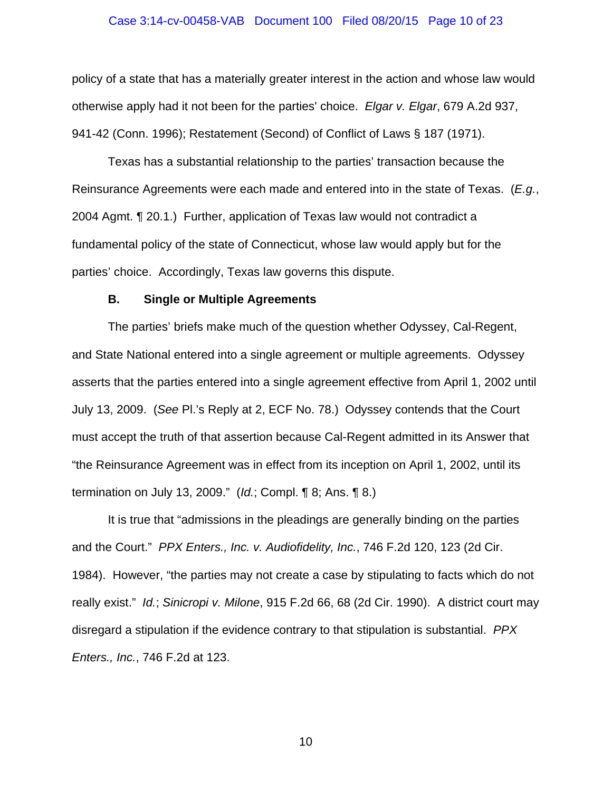#### Case 3:14-cv-00458-VAB Document 100 Filed 08/20/15 Page 10 of 23

policy of a state that has a materially greater interest in the action and whose law would otherwise apply had it not been for the parties' choice. *Elgar v. Elgar*, 679 A.2d 937, 941-42 (Conn. 1996); Restatement (Second) of Conflict of Laws § 187 (1971).

Texas has a substantial relationship to the parties' transaction because the Reinsurance Agreements were each made and entered into in the state of Texas. (*E.g.*, 2004 Agmt. ¶ 20.1.) Further, application of Texas law would not contradict a fundamental policy of the state of Connecticut, whose law would apply but for the parties' choice. Accordingly, Texas law governs this dispute.

#### **B. Single or Multiple Agreements**

The parties' briefs make much of the question whether Odyssey, Cal-Regent, and State National entered into a single agreement or multiple agreements. Odyssey asserts that the parties entered into a single agreement effective from April 1, 2002 until July 13, 2009. (*See* Pl.'s Reply at 2, ECF No. 78.) Odyssey contends that the Court must accept the truth of that assertion because Cal-Regent admitted in its Answer that "the Reinsurance Agreement was in effect from its inception on April 1, 2002, until its termination on July 13, 2009." (*Id.*; Compl. ¶ 8; Ans. ¶ 8.)

It is true that "admissions in the pleadings are generally binding on the parties and the Court." *PPX Enters., Inc. v. Audiofidelity, Inc.*, 746 F.2d 120, 123 (2d Cir. 1984). However, "the parties may not create a case by stipulating to facts which do not really exist." *Id.*; *Sinicropi v. Milone*, 915 F.2d 66, 68 (2d Cir. 1990). A district court may disregard a stipulation if the evidence contrary to that stipulation is substantial. *PPX Enters., Inc.*, 746 F.2d at 123.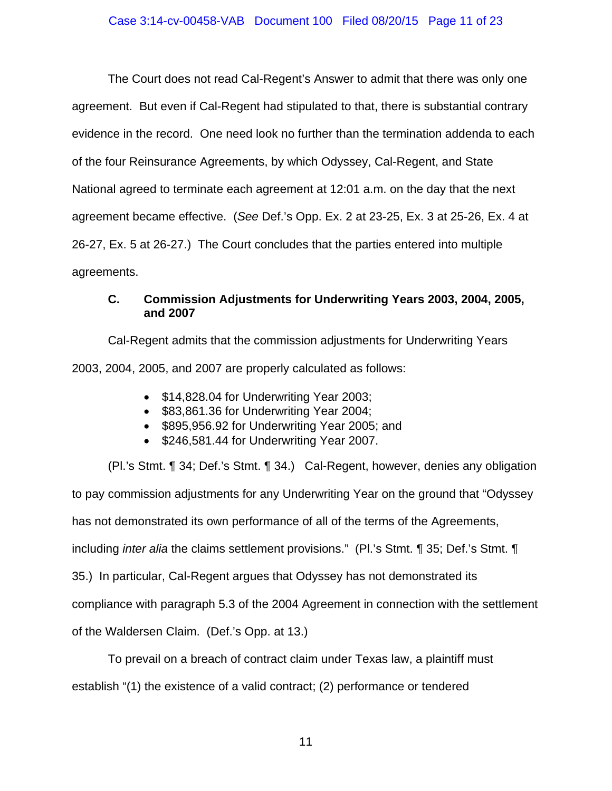The Court does not read Cal-Regent's Answer to admit that there was only one agreement. But even if Cal-Regent had stipulated to that, there is substantial contrary evidence in the record. One need look no further than the termination addenda to each of the four Reinsurance Agreements, by which Odyssey, Cal-Regent, and State National agreed to terminate each agreement at 12:01 a.m. on the day that the next agreement became effective. (*See* Def.'s Opp. Ex. 2 at 23-25, Ex. 3 at 25-26, Ex. 4 at 26-27, Ex. 5 at 26-27.) The Court concludes that the parties entered into multiple agreements.

## **C. Commission Adjustments for Underwriting Years 2003, 2004, 2005, and 2007**

Cal-Regent admits that the commission adjustments for Underwriting Years 2003, 2004, 2005, and 2007 are properly calculated as follows:

- \$14,828.04 for Underwriting Year 2003;
- \$83,861.36 for Underwriting Year 2004;
- \$895,956.92 for Underwriting Year 2005; and
- \$246,581.44 for Underwriting Year 2007.

(Pl.'s Stmt. ¶ 34; Def.'s Stmt. ¶ 34.) Cal-Regent, however, denies any obligation to pay commission adjustments for any Underwriting Year on the ground that "Odyssey has not demonstrated its own performance of all of the terms of the Agreements, including *inter alia* the claims settlement provisions." (Pl.'s Stmt. ¶ 35; Def.'s Stmt. ¶ 35.) In particular, Cal-Regent argues that Odyssey has not demonstrated its compliance with paragraph 5.3 of the 2004 Agreement in connection with the settlement of the Waldersen Claim. (Def.'s Opp. at 13.)

To prevail on a breach of contract claim under Texas law, a plaintiff must establish "(1) the existence of a valid contract; (2) performance or tendered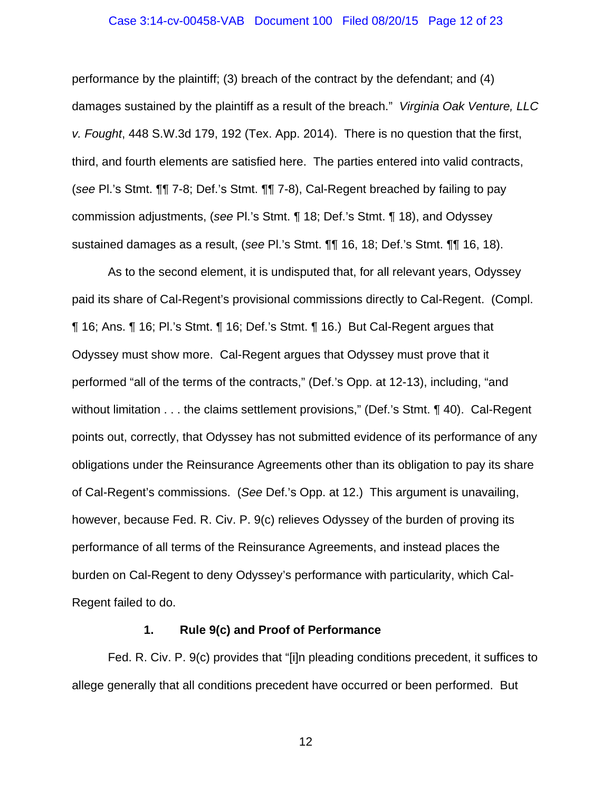#### Case 3:14-cv-00458-VAB Document 100 Filed 08/20/15 Page 12 of 23

performance by the plaintiff; (3) breach of the contract by the defendant; and (4) damages sustained by the plaintiff as a result of the breach." *Virginia Oak Venture, LLC v. Fought*, 448 S.W.3d 179, 192 (Tex. App. 2014). There is no question that the first, third, and fourth elements are satisfied here. The parties entered into valid contracts, (*see* Pl.'s Stmt. ¶¶ 7-8; Def.'s Stmt. ¶¶ 7-8), Cal-Regent breached by failing to pay commission adjustments, (*see* Pl.'s Stmt. ¶ 18; Def.'s Stmt. ¶ 18), and Odyssey sustained damages as a result, (*see* Pl.'s Stmt. ¶¶ 16, 18; Def.'s Stmt. ¶¶ 16, 18).

As to the second element, it is undisputed that, for all relevant years, Odyssey paid its share of Cal-Regent's provisional commissions directly to Cal-Regent. (Compl. ¶ 16; Ans. ¶ 16; Pl.'s Stmt. ¶ 16; Def.'s Stmt. ¶ 16.) But Cal-Regent argues that Odyssey must show more. Cal-Regent argues that Odyssey must prove that it performed "all of the terms of the contracts," (Def.'s Opp. at 12-13), including, "and without limitation . . . the claims settlement provisions," (Def.'s Stmt. 140). Cal-Regent points out, correctly, that Odyssey has not submitted evidence of its performance of any obligations under the Reinsurance Agreements other than its obligation to pay its share of Cal-Regent's commissions. (*See* Def.'s Opp. at 12.) This argument is unavailing, however, because Fed. R. Civ. P. 9(c) relieves Odyssey of the burden of proving its performance of all terms of the Reinsurance Agreements, and instead places the burden on Cal-Regent to deny Odyssey's performance with particularity, which Cal-Regent failed to do.

### **1. Rule 9(c) and Proof of Performance**

Fed. R. Civ. P. 9(c) provides that "[i]n pleading conditions precedent, it suffices to allege generally that all conditions precedent have occurred or been performed. But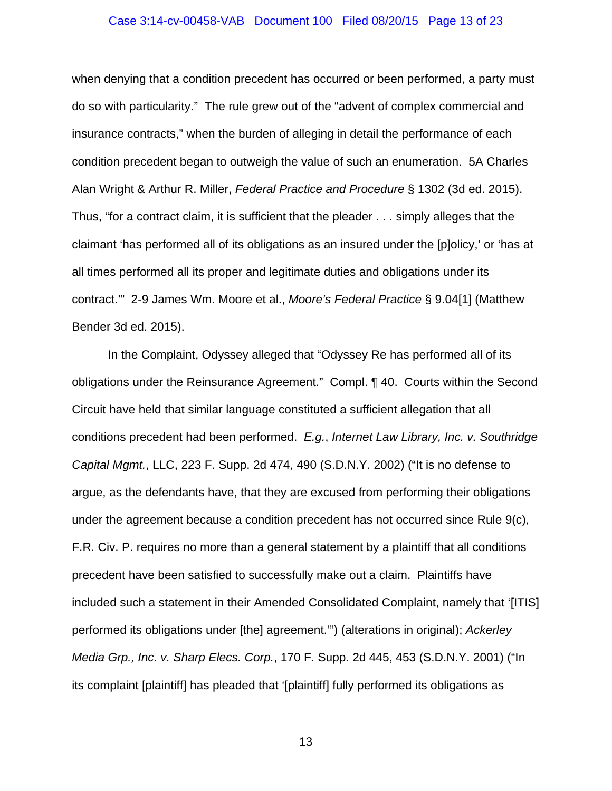#### Case 3:14-cv-00458-VAB Document 100 Filed 08/20/15 Page 13 of 23

when denying that a condition precedent has occurred or been performed, a party must do so with particularity." The rule grew out of the "advent of complex commercial and insurance contracts," when the burden of alleging in detail the performance of each condition precedent began to outweigh the value of such an enumeration. 5A Charles Alan Wright & Arthur R. Miller, *Federal Practice and Procedure* § 1302 (3d ed. 2015). Thus, "for a contract claim, it is sufficient that the pleader . . . simply alleges that the claimant 'has performed all of its obligations as an insured under the [p]olicy,' or 'has at all times performed all its proper and legitimate duties and obligations under its contract.'" 2-9 James Wm. Moore et al., *Moore's Federal Practice* § 9.04[1] (Matthew Bender 3d ed. 2015).

In the Complaint, Odyssey alleged that "Odyssey Re has performed all of its obligations under the Reinsurance Agreement." Compl. ¶ 40. Courts within the Second Circuit have held that similar language constituted a sufficient allegation that all conditions precedent had been performed. *E.g.*, *Internet Law Library, Inc. v. Southridge Capital Mgmt.*, LLC, 223 F. Supp. 2d 474, 490 (S.D.N.Y. 2002) ("It is no defense to argue, as the defendants have, that they are excused from performing their obligations under the agreement because a condition precedent has not occurred since Rule 9(c), F.R. Civ. P. requires no more than a general statement by a plaintiff that all conditions precedent have been satisfied to successfully make out a claim. Plaintiffs have included such a statement in their Amended Consolidated Complaint, namely that '[ITIS] performed its obligations under [the] agreement.'") (alterations in original); *Ackerley Media Grp., Inc. v. Sharp Elecs. Corp.*, 170 F. Supp. 2d 445, 453 (S.D.N.Y. 2001) ("In its complaint [plaintiff] has pleaded that '[plaintiff] fully performed its obligations as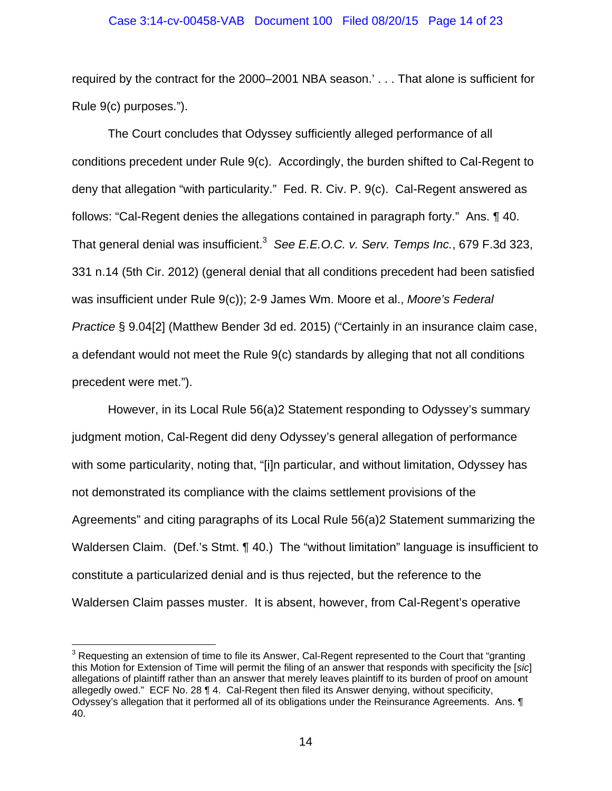### Case 3:14-cv-00458-VAB Document 100 Filed 08/20/15 Page 14 of 23

required by the contract for the 2000–2001 NBA season.' . . . That alone is sufficient for Rule 9(c) purposes.").

The Court concludes that Odyssey sufficiently alleged performance of all conditions precedent under Rule 9(c). Accordingly, the burden shifted to Cal-Regent to deny that allegation "with particularity." Fed. R. Civ. P. 9(c). Cal-Regent answered as follows: "Cal-Regent denies the allegations contained in paragraph forty." Ans. ¶ 40. That general denial was insufficient.3 *See E.E.O.C. v. Serv. Temps Inc.*, 679 F.3d 323, 331 n.14 (5th Cir. 2012) (general denial that all conditions precedent had been satisfied was insufficient under Rule 9(c)); 2-9 James Wm. Moore et al., *Moore's Federal Practice* § 9.04[2] (Matthew Bender 3d ed. 2015) ("Certainly in an insurance claim case, a defendant would not meet the Rule 9(c) standards by alleging that not all conditions precedent were met.").

However, in its Local Rule 56(a)2 Statement responding to Odyssey's summary judgment motion, Cal-Regent did deny Odyssey's general allegation of performance with some particularity, noting that, "[i]n particular, and without limitation, Odyssey has not demonstrated its compliance with the claims settlement provisions of the Agreements" and citing paragraphs of its Local Rule 56(a)2 Statement summarizing the Waldersen Claim. (Def.'s Stmt. 140.) The "without limitation" language is insufficient to constitute a particularized denial and is thus rejected, but the reference to the Waldersen Claim passes muster. It is absent, however, from Cal-Regent's operative

 $\frac{1}{\sqrt{2}}$  . The contract of the contract of the contract of  $\frac{1}{\sqrt{2}}$  ,  $\frac{1}{\sqrt{2}}$  ,  $\frac{1}{\sqrt{2}}$  ,  $\frac{1}{\sqrt{2}}$  ,  $\frac{1}{\sqrt{2}}$  ,  $\frac{1}{\sqrt{2}}$  ,  $\frac{1}{\sqrt{2}}$  ,  $\frac{1}{\sqrt{2}}$  ,  $\frac{1}{\sqrt{2}}$  ,  $\frac{1}{\sqrt{2}}$  ,  $\frac{1}{\sqrt$ 

 $3$  Requesting an extension of time to file its Answer, Cal-Regent represented to the Court that "granting this Motion for Extension of Time will permit the filing of an answer that responds with specificity the [*sic*] allegations of plaintiff rather than an answer that merely leaves plaintiff to its burden of proof on amount allegedly owed." ECF No. 28 ¶ 4. Cal-Regent then filed its Answer denying, without specificity, Odyssey's allegation that it performed all of its obligations under the Reinsurance Agreements. Ans. ¶ 40.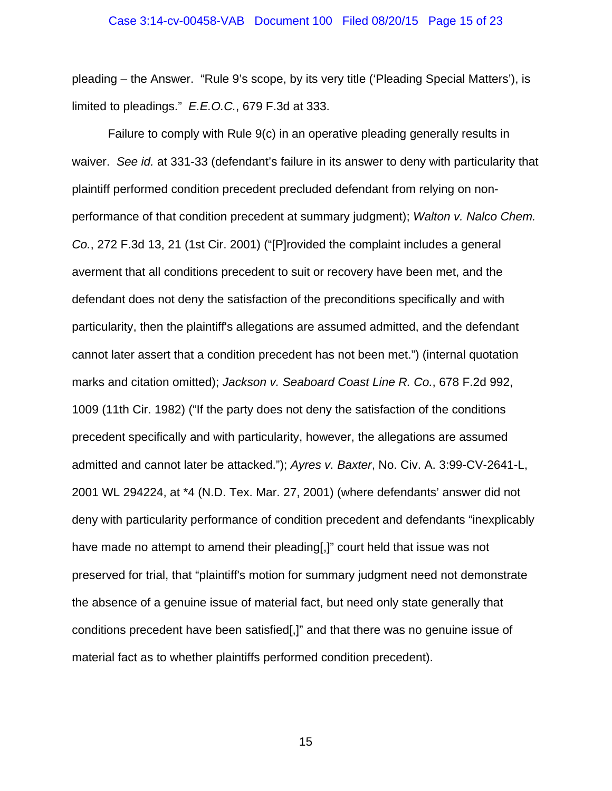pleading – the Answer. "Rule 9's scope, by its very title ('Pleading Special Matters'), is limited to pleadings." *E.E.O.C.*, 679 F.3d at 333.

Failure to comply with Rule 9(c) in an operative pleading generally results in waiver. *See id.* at 331-33 (defendant's failure in its answer to deny with particularity that plaintiff performed condition precedent precluded defendant from relying on nonperformance of that condition precedent at summary judgment); *Walton v. Nalco Chem. Co.*, 272 F.3d 13, 21 (1st Cir. 2001) ("[P]rovided the complaint includes a general averment that all conditions precedent to suit or recovery have been met, and the defendant does not deny the satisfaction of the preconditions specifically and with particularity, then the plaintiff's allegations are assumed admitted, and the defendant cannot later assert that a condition precedent has not been met.") (internal quotation marks and citation omitted); *Jackson v. Seaboard Coast Line R. Co.*, 678 F.2d 992, 1009 (11th Cir. 1982) ("If the party does not deny the satisfaction of the conditions precedent specifically and with particularity, however, the allegations are assumed admitted and cannot later be attacked."); *Ayres v. Baxter*, No. Civ. A. 3:99-CV-2641-L, 2001 WL 294224, at \*4 (N.D. Tex. Mar. 27, 2001) (where defendants' answer did not deny with particularity performance of condition precedent and defendants "inexplicably have made no attempt to amend their pleading[,]" court held that issue was not preserved for trial, that "plaintiff's motion for summary judgment need not demonstrate the absence of a genuine issue of material fact, but need only state generally that conditions precedent have been satisfied[,]" and that there was no genuine issue of material fact as to whether plaintiffs performed condition precedent).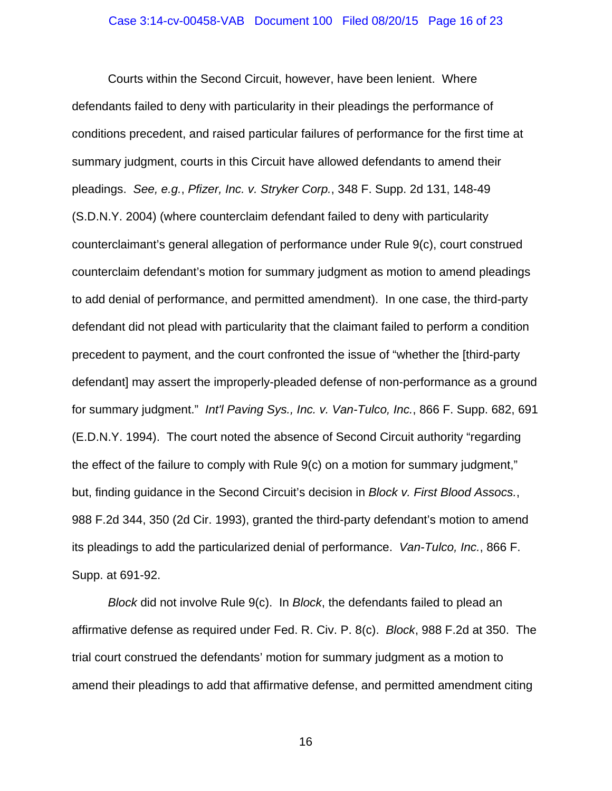Courts within the Second Circuit, however, have been lenient. Where defendants failed to deny with particularity in their pleadings the performance of conditions precedent, and raised particular failures of performance for the first time at summary judgment, courts in this Circuit have allowed defendants to amend their pleadings. *See, e.g.*, *Pfizer, Inc. v. Stryker Corp.*, 348 F. Supp. 2d 131, 148-49 (S.D.N.Y. 2004) (where counterclaim defendant failed to deny with particularity counterclaimant's general allegation of performance under Rule 9(c), court construed counterclaim defendant's motion for summary judgment as motion to amend pleadings to add denial of performance, and permitted amendment). In one case, the third-party defendant did not plead with particularity that the claimant failed to perform a condition precedent to payment, and the court confronted the issue of "whether the [third-party defendant] may assert the improperly-pleaded defense of non-performance as a ground for summary judgment." *Int'l Paving Sys., Inc. v. Van-Tulco, Inc.*, 866 F. Supp. 682, 691 (E.D.N.Y. 1994). The court noted the absence of Second Circuit authority "regarding the effect of the failure to comply with Rule 9(c) on a motion for summary judgment," but, finding guidance in the Second Circuit's decision in *Block v. First Blood Assocs.*, 988 F.2d 344, 350 (2d Cir. 1993), granted the third-party defendant's motion to amend its pleadings to add the particularized denial of performance. *Van-Tulco, Inc.*, 866 F. Supp. at 691-92.

*Block* did not involve Rule 9(c). In *Block*, the defendants failed to plead an affirmative defense as required under Fed. R. Civ. P. 8(c). *Block*, 988 F.2d at 350. The trial court construed the defendants' motion for summary judgment as a motion to amend their pleadings to add that affirmative defense, and permitted amendment citing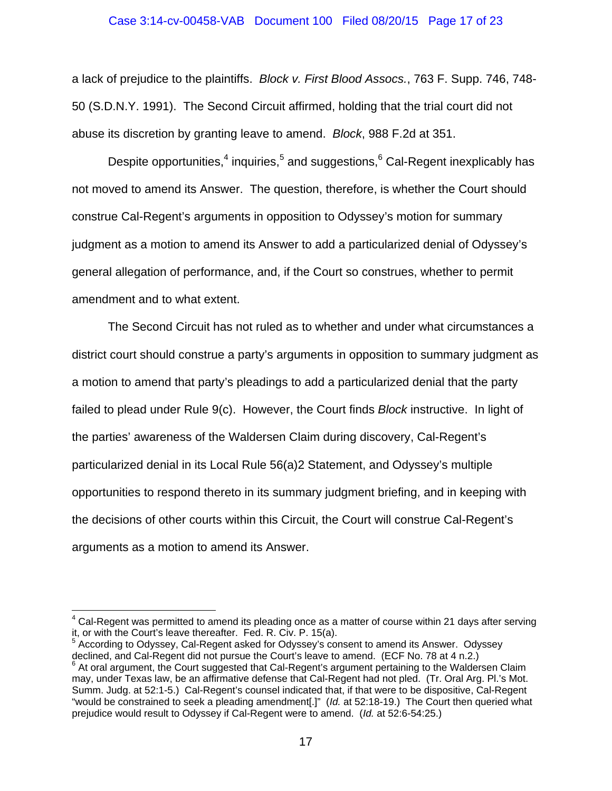### Case 3:14-cv-00458-VAB Document 100 Filed 08/20/15 Page 17 of 23

a lack of prejudice to the plaintiffs. *Block v. First Blood Assocs.*, 763 F. Supp. 746, 748- 50 (S.D.N.Y. 1991). The Second Circuit affirmed, holding that the trial court did not abuse its discretion by granting leave to amend. *Block*, 988 F.2d at 351.

Despite opportunities,<sup>4</sup> inquiries,<sup>5</sup> and suggestions,<sup>6</sup> Cal-Regent inexplicably has not moved to amend its Answer. The question, therefore, is whether the Court should construe Cal-Regent's arguments in opposition to Odyssey's motion for summary judgment as a motion to amend its Answer to add a particularized denial of Odyssey's general allegation of performance, and, if the Court so construes, whether to permit amendment and to what extent.

The Second Circuit has not ruled as to whether and under what circumstances a district court should construe a party's arguments in opposition to summary judgment as a motion to amend that party's pleadings to add a particularized denial that the party failed to plead under Rule 9(c). However, the Court finds *Block* instructive. In light of the parties' awareness of the Waldersen Claim during discovery, Cal-Regent's particularized denial in its Local Rule 56(a)2 Statement, and Odyssey's multiple opportunities to respond thereto in its summary judgment briefing, and in keeping with the decisions of other courts within this Circuit, the Court will construe Cal-Regent's arguments as a motion to amend its Answer.

<sup>————————————————————&</sup>lt;br><sup>4</sup> Cal-Regent was permitted to amend its pleading once as a matter of course within 21 days after serving it, or with the Court's leave thereafter. Fed. R. Civ. P. 15(a).

According to Odyssey, Cal-Regent asked for Odyssey's consent to amend its Answer. Odyssey declined, and Cal-Regent did not pursue the Court's leave to amend. (ECF No. 78 at 4 n.2.)

 $6$  At oral argument, the Court suggested that Cal-Regent's argument pertaining to the Waldersen Claim may, under Texas law, be an affirmative defense that Cal-Regent had not pled. (Tr. Oral Arg. Pl.'s Mot. Summ. Judg. at 52:1-5.) Cal-Regent's counsel indicated that, if that were to be dispositive, Cal-Regent "would be constrained to seek a pleading amendment[.]" (*Id.* at 52:18-19.) The Court then queried what prejudice would result to Odyssey if Cal-Regent were to amend. (*Id.* at 52:6-54:25.)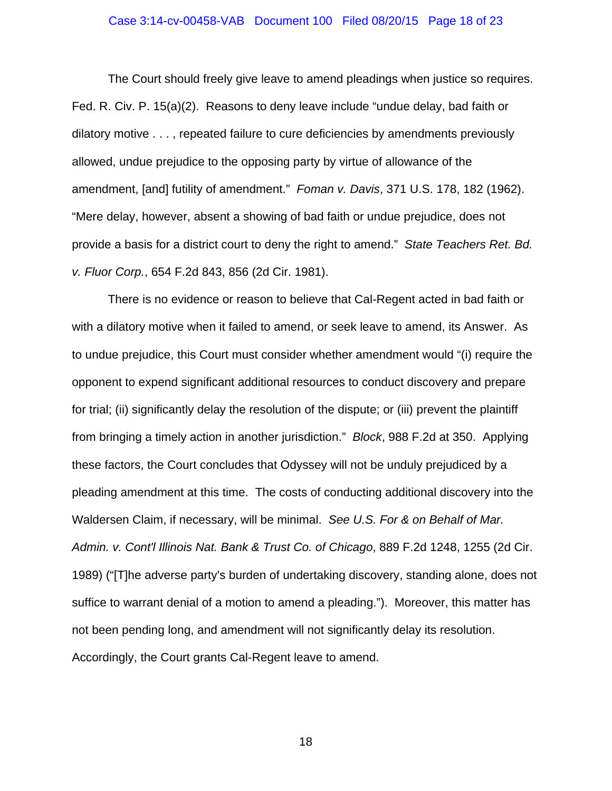## Case 3:14-cv-00458-VAB Document 100 Filed 08/20/15 Page 18 of 23

The Court should freely give leave to amend pleadings when justice so requires. Fed. R. Civ. P. 15(a)(2). Reasons to deny leave include "undue delay, bad faith or dilatory motive . . . , repeated failure to cure deficiencies by amendments previously allowed, undue prejudice to the opposing party by virtue of allowance of the amendment, [and] futility of amendment." *Foman v. Davis*, 371 U.S. 178, 182 (1962). "Mere delay, however, absent a showing of bad faith or undue prejudice, does not provide a basis for a district court to deny the right to amend." *State Teachers Ret. Bd. v. Fluor Corp.*, 654 F.2d 843, 856 (2d Cir. 1981).

There is no evidence or reason to believe that Cal-Regent acted in bad faith or with a dilatory motive when it failed to amend, or seek leave to amend, its Answer. As to undue prejudice, this Court must consider whether amendment would "(i) require the opponent to expend significant additional resources to conduct discovery and prepare for trial; (ii) significantly delay the resolution of the dispute; or (iii) prevent the plaintiff from bringing a timely action in another jurisdiction." *Block*, 988 F.2d at 350. Applying these factors, the Court concludes that Odyssey will not be unduly prejudiced by a pleading amendment at this time. The costs of conducting additional discovery into the Waldersen Claim, if necessary, will be minimal. *See U.S. For & on Behalf of Mar. Admin. v. Cont'l Illinois Nat. Bank & Trust Co. of Chicago*, 889 F.2d 1248, 1255 (2d Cir. 1989) ("[T]he adverse party's burden of undertaking discovery, standing alone, does not suffice to warrant denial of a motion to amend a pleading."). Moreover, this matter has not been pending long, and amendment will not significantly delay its resolution. Accordingly, the Court grants Cal-Regent leave to amend.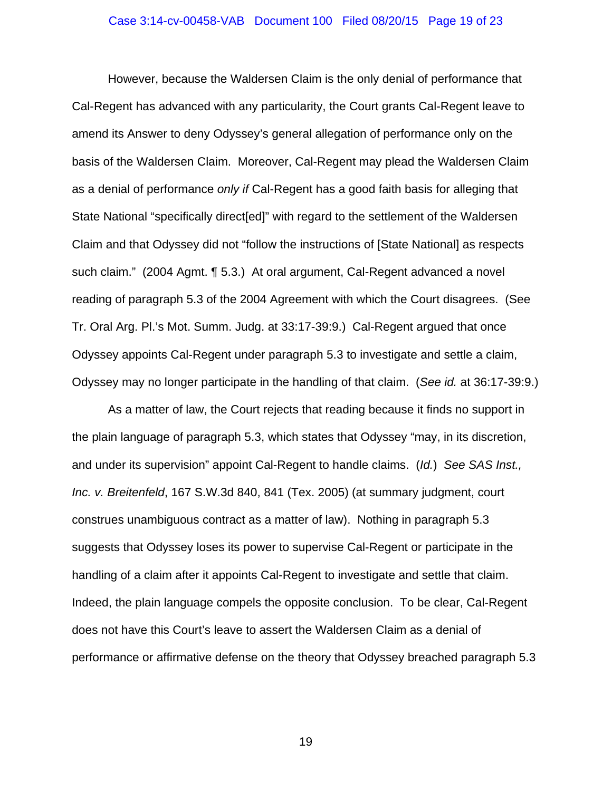#### Case 3:14-cv-00458-VAB Document 100 Filed 08/20/15 Page 19 of 23

However, because the Waldersen Claim is the only denial of performance that Cal-Regent has advanced with any particularity, the Court grants Cal-Regent leave to amend its Answer to deny Odyssey's general allegation of performance only on the basis of the Waldersen Claim. Moreover, Cal-Regent may plead the Waldersen Claim as a denial of performance *only if* Cal-Regent has a good faith basis for alleging that State National "specifically direct[ed]" with regard to the settlement of the Waldersen Claim and that Odyssey did not "follow the instructions of [State National] as respects such claim." (2004 Agmt. ¶ 5.3.) At oral argument, Cal-Regent advanced a novel reading of paragraph 5.3 of the 2004 Agreement with which the Court disagrees. (See Tr. Oral Arg. Pl.'s Mot. Summ. Judg. at 33:17-39:9.) Cal-Regent argued that once Odyssey appoints Cal-Regent under paragraph 5.3 to investigate and settle a claim, Odyssey may no longer participate in the handling of that claim. (*See id.* at 36:17-39:9.)

As a matter of law, the Court rejects that reading because it finds no support in the plain language of paragraph 5.3, which states that Odyssey "may, in its discretion, and under its supervision" appoint Cal-Regent to handle claims. (*Id.*) *See SAS Inst., Inc. v. Breitenfeld*, 167 S.W.3d 840, 841 (Tex. 2005) (at summary judgment, court construes unambiguous contract as a matter of law). Nothing in paragraph 5.3 suggests that Odyssey loses its power to supervise Cal-Regent or participate in the handling of a claim after it appoints Cal-Regent to investigate and settle that claim. Indeed, the plain language compels the opposite conclusion. To be clear, Cal-Regent does not have this Court's leave to assert the Waldersen Claim as a denial of performance or affirmative defense on the theory that Odyssey breached paragraph 5.3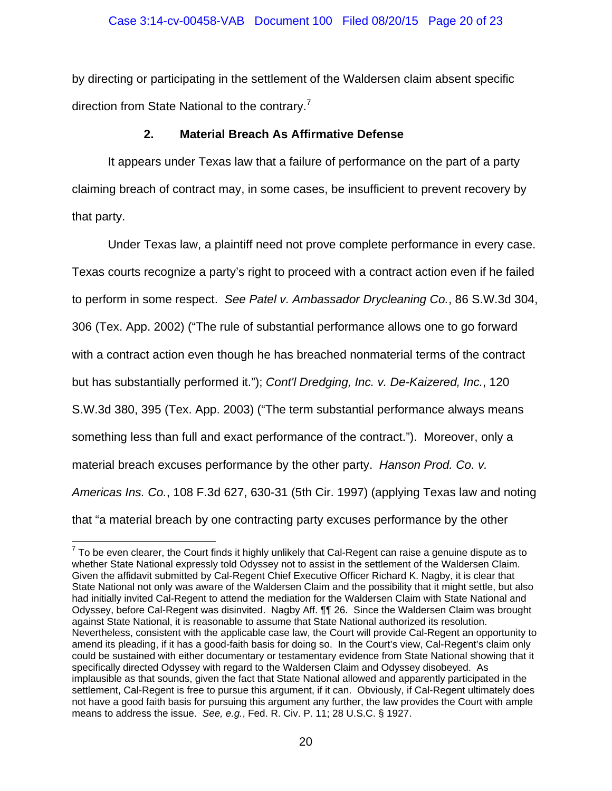by directing or participating in the settlement of the Waldersen claim absent specific direction from State National to the contrary.<sup>7</sup>

## **2. Material Breach As Affirmative Defense**

It appears under Texas law that a failure of performance on the part of a party claiming breach of contract may, in some cases, be insufficient to prevent recovery by that party.

Under Texas law, a plaintiff need not prove complete performance in every case. Texas courts recognize a party's right to proceed with a contract action even if he failed to perform in some respect. *See Patel v. Ambassador Drycleaning Co.*, 86 S.W.3d 304, 306 (Tex. App. 2002) ("The rule of substantial performance allows one to go forward with a contract action even though he has breached nonmaterial terms of the contract but has substantially performed it."); *Cont'l Dredging, Inc. v. De-Kaizered, Inc.*, 120 S.W.3d 380, 395 (Tex. App. 2003) ("The term substantial performance always means something less than full and exact performance of the contract."). Moreover, only a material breach excuses performance by the other party. *Hanson Prod. Co. v. Americas Ins. Co.*, 108 F.3d 627, 630-31 (5th Cir. 1997) (applying Texas law and noting that "a material breach by one contracting party excuses performance by the other

  $^7$  To be even clearer, the Court finds it highly unlikely that Cal-Regent can raise a genuine dispute as to whether State National expressly told Odyssey not to assist in the settlement of the Waldersen Claim. Given the affidavit submitted by Cal-Regent Chief Executive Officer Richard K. Nagby, it is clear that State National not only was aware of the Waldersen Claim and the possibility that it might settle, but also had initially invited Cal-Regent to attend the mediation for the Waldersen Claim with State National and Odyssey, before Cal-Regent was disinvited. Nagby Aff. ¶¶ 26. Since the Waldersen Claim was brought against State National, it is reasonable to assume that State National authorized its resolution. Nevertheless, consistent with the applicable case law, the Court will provide Cal-Regent an opportunity to amend its pleading, if it has a good-faith basis for doing so. In the Court's view, Cal-Regent's claim only could be sustained with either documentary or testamentary evidence from State National showing that it specifically directed Odyssey with regard to the Waldersen Claim and Odyssey disobeyed. As implausible as that sounds, given the fact that State National allowed and apparently participated in the settlement, Cal-Regent is free to pursue this argument, if it can. Obviously, if Cal-Regent ultimately does not have a good faith basis for pursuing this argument any further, the law provides the Court with ample means to address the issue. *See, e.g.*, Fed. R. Civ. P. 11; 28 U.S.C. § 1927.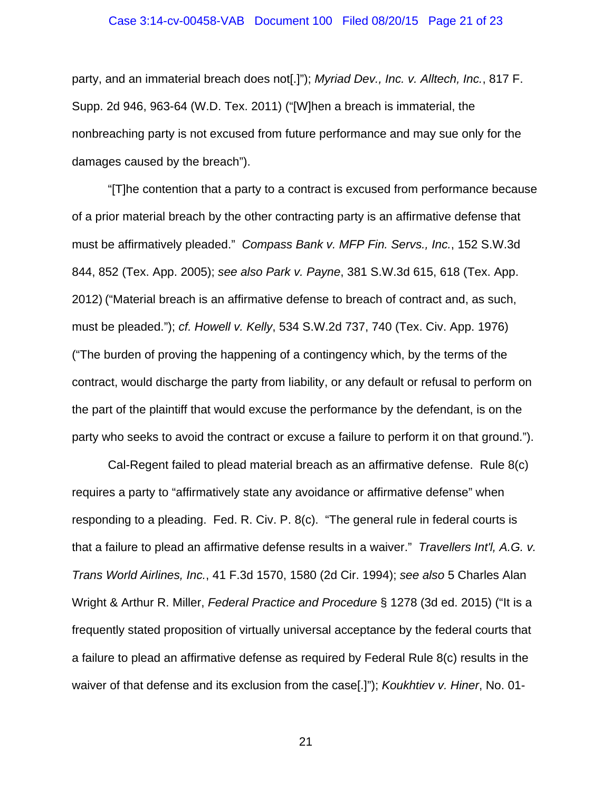#### Case 3:14-cv-00458-VAB Document 100 Filed 08/20/15 Page 21 of 23

party, and an immaterial breach does not[.]"); *Myriad Dev., Inc. v. Alltech, Inc.*, 817 F. Supp. 2d 946, 963-64 (W.D. Tex. 2011) ("[W]hen a breach is immaterial, the nonbreaching party is not excused from future performance and may sue only for the damages caused by the breach").

"[T]he contention that a party to a contract is excused from performance because of a prior material breach by the other contracting party is an affirmative defense that must be affirmatively pleaded." *Compass Bank v. MFP Fin. Servs., Inc.*, 152 S.W.3d 844, 852 (Tex. App. 2005); *see also Park v. Payne*, 381 S.W.3d 615, 618 (Tex. App. 2012) ("Material breach is an affirmative defense to breach of contract and, as such, must be pleaded."); *cf. Howell v. Kelly*, 534 S.W.2d 737, 740 (Tex. Civ. App. 1976) ("The burden of proving the happening of a contingency which, by the terms of the contract, would discharge the party from liability, or any default or refusal to perform on the part of the plaintiff that would excuse the performance by the defendant, is on the party who seeks to avoid the contract or excuse a failure to perform it on that ground.").

Cal-Regent failed to plead material breach as an affirmative defense. Rule 8(c) requires a party to "affirmatively state any avoidance or affirmative defense" when responding to a pleading. Fed. R. Civ. P. 8(c). "The general rule in federal courts is that a failure to plead an affirmative defense results in a waiver." *Travellers Int'l, A.G. v. Trans World Airlines, Inc.*, 41 F.3d 1570, 1580 (2d Cir. 1994); *see also* 5 Charles Alan Wright & Arthur R. Miller, *Federal Practice and Procedure* § 1278 (3d ed. 2015) ("It is a frequently stated proposition of virtually universal acceptance by the federal courts that a failure to plead an affirmative defense as required by Federal Rule 8(c) results in the waiver of that defense and its exclusion from the case[.]"); *Koukhtiev v. Hiner*, No. 01-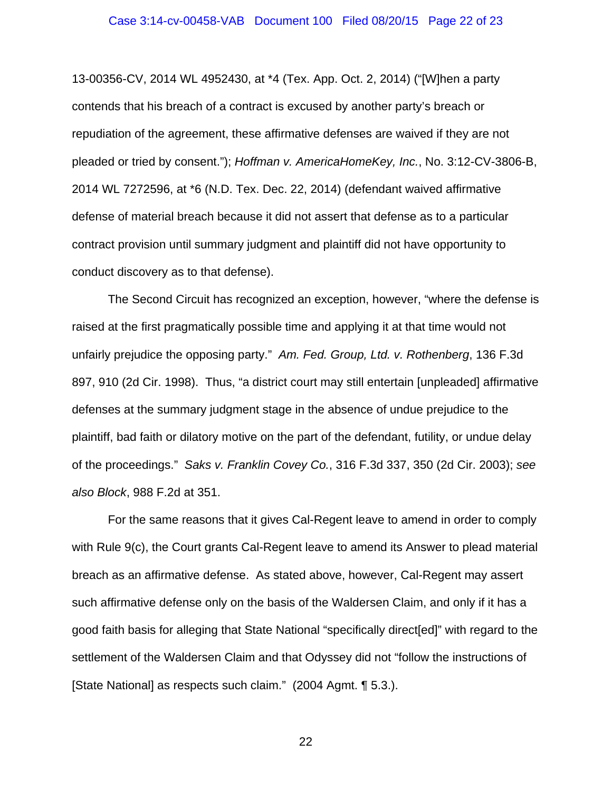13-00356-CV, 2014 WL 4952430, at \*4 (Tex. App. Oct. 2, 2014) ("[W]hen a party contends that his breach of a contract is excused by another party's breach or repudiation of the agreement, these affirmative defenses are waived if they are not pleaded or tried by consent."); *Hoffman v. AmericaHomeKey, Inc.*, No. 3:12-CV-3806-B, 2014 WL 7272596, at \*6 (N.D. Tex. Dec. 22, 2014) (defendant waived affirmative defense of material breach because it did not assert that defense as to a particular contract provision until summary judgment and plaintiff did not have opportunity to conduct discovery as to that defense).

The Second Circuit has recognized an exception, however, "where the defense is raised at the first pragmatically possible time and applying it at that time would not unfairly prejudice the opposing party." *Am. Fed. Group, Ltd. v. Rothenberg*, 136 F.3d 897, 910 (2d Cir. 1998). Thus, "a district court may still entertain [unpleaded] affirmative defenses at the summary judgment stage in the absence of undue prejudice to the plaintiff, bad faith or dilatory motive on the part of the defendant, futility, or undue delay of the proceedings." *Saks v. Franklin Covey Co.*, 316 F.3d 337, 350 (2d Cir. 2003); *see also Block*, 988 F.2d at 351.

For the same reasons that it gives Cal-Regent leave to amend in order to comply with Rule 9(c), the Court grants Cal-Regent leave to amend its Answer to plead material breach as an affirmative defense. As stated above, however, Cal-Regent may assert such affirmative defense only on the basis of the Waldersen Claim, and only if it has a good faith basis for alleging that State National "specifically direct[ed]" with regard to the settlement of the Waldersen Claim and that Odyssey did not "follow the instructions of [State National] as respects such claim." (2004 Agmt. ¶ 5.3.).